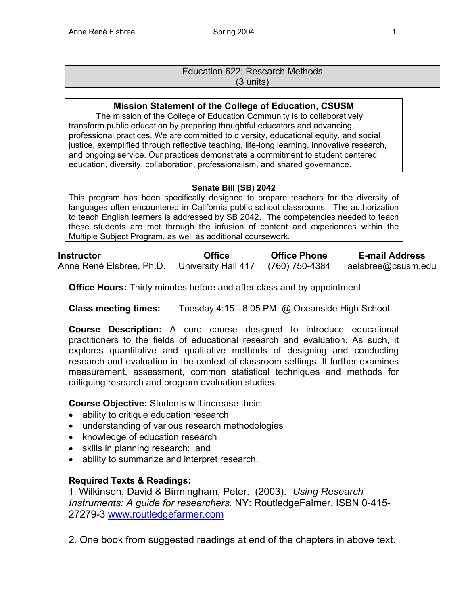# Education 622: Research Methods (3 units)

# **Mission Statement of the College of Education, CSUSM**

The mission of the College of Education Community is to collaboratively transform public education by preparing thoughtful educators and advancing professional practices. We are committed to diversity, educational equity, and social justice, exemplified through reflective teaching, life-long learning, innovative research, and ongoing service. Our practices demonstrate a commitment to student centered education, diversity, collaboration, professionalism, and shared governance.

# **Senate Bill (SB) 2042**

This program has been specifically designed to prepare teachers for the diversity of languages often encountered in California public school classrooms. The authorization to teach English learners is addressed by SB 2042. The competencies needed to teach these students are met through the infusion of content and experiences within the Multiple Subject Program, as well as additional coursework.

**Instructor Office Office Phone E-mail Address**  Anne René Elsbree, Ph.D. University Hall 417 (760) 750-4384 aelsbree@csusm.edu

**Office Hours:** Thirty minutes before and after class and by appointment

**Class meeting times:** Tuesday 4:15 - 8:05 PM @ Oceanside High School

**Course Description:** A core course designed to introduce educational practitioners to the fields of educational research and evaluation. As such, it explores quantitative and qualitative methods of designing and conducting research and evaluation in the context of classroom settings. It further examines measurement, assessment, common statistical techniques and methods for critiquing research and program evaluation studies.

**Course Objective:** Students will increase their:

- ability to critique education research
- understanding of various research methodologies
- knowledge of education research
- skills in planning research; and
- ability to summarize and interpret research.

# **Required Texts & Readings:**

1. Wilkinson, David & Birmingham, Peter. (2003). *Using Research Instruments: A guide for researchers.* NY: RoutledgeFalmer. ISBN 0-415- 27279-3 www.routledgefarmer.com

2. One book from suggested readings at end of the chapters in above text.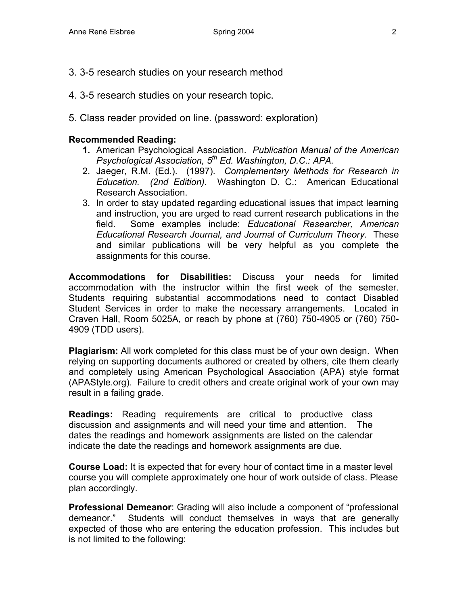- 3. 3-5 research studies on your research method
- 4. 3-5 research studies on your research topic.
- 5. Class reader provided on line. (password: exploration)

## **Recommended Reading:**

- **1.** American Psychological Association. *Publication Manual of the American Psychological Association, 5th Ed. Washington, D.C.: APA.*
- 2. Jaeger, R.M. (Ed.). (1997). *Complementary Methods for Research in Education. (2nd Edition).* Washington D. C.: American Educational Research Association.
- 3. In order to stay updated regarding educational issues that impact learning and instruction, you are urged to read current research publications in the field. Some examples include: *Educational Researcher, American Educational Research Journal, and Journal of Curriculum Theory.* These and similar publications will be very helpful as you complete the assignments for this course.

**Accommodations for Disabilities:** Discuss your needs for limited accommodation with the instructor within the first week of the semester. Students requiring substantial accommodations need to contact Disabled Student Services in order to make the necessary arrangements. Located in Craven Hall, Room 5025A, or reach by phone at (760) 750-4905 or (760) 750- 4909 (TDD users).

**Plagiarism:** All work completed for this class must be of your own design. When relying on supporting documents authored or created by others, cite them clearly and completely using American Psychological Association (APA) style format (APAStyle.org). Failure to credit others and create original work of your own may result in a failing grade.

**Readings:** Reading requirements are critical to productive class discussion and assignments and will need your time and attention. The dates the readings and homework assignments are listed on the calendar indicate the date the readings and homework assignments are due.

**Course Load:** It is expected that for every hour of contact time in a master level course you will complete approximately one hour of work outside of class. Please plan accordingly.

**Professional Demeanor**: Grading will also include a component of "professional demeanor." Students will conduct themselves in ways that are generally expected of those who are entering the education profession. This includes but is not limited to the following: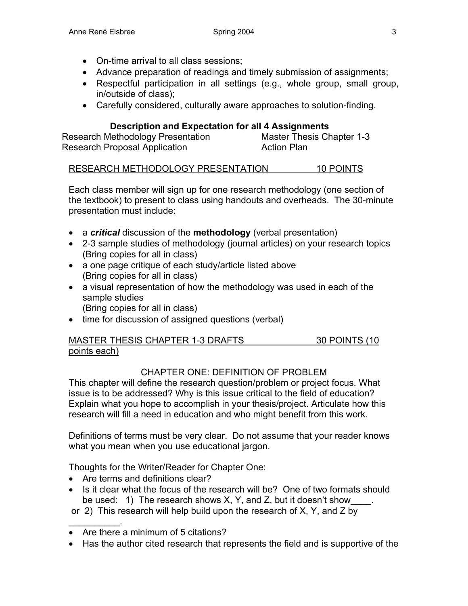- On-time arrival to all class sessions;
- Advance preparation of readings and timely submission of assignments;
- Respectful participation in all settings (e.g., whole group, small group, in/outside of class);
- Carefully considered, culturally aware approaches to solution-finding.

# **Description and Expectation for all 4 Assignments**

Research Methodology Presentation Master Thesis Chapter 1-3 Research Proposal Application **Action Plan** 

# RESEARCH METHODOLOGY PRESENTATION 10 POINTS

Each class member will sign up for one research methodology (one section of the textbook) to present to class using handouts and overheads. The 30-minute presentation must include:

- a *critical* discussion of the **methodology** (verbal presentation)
- 2-3 sample studies of methodology (journal articles) on your research topics (Bring copies for all in class)
- a one page critique of each study/article listed above (Bring copies for all in class)
- a visual representation of how the methodology was used in each of the sample studies (Bring copies for all in class)
- time for discussion of assigned questions (verbal)

# MASTER THESIS CHAPTER 1-3 DRAFTS 30 POINTS (10 points each)

# CHAPTER ONE: DEFINITION OF PROBLEM

This chapter will define the research question/problem or project focus. What issue is to be addressed? Why is this issue critical to the field of education? Explain what you hope to accomplish in your thesis/project. Articulate how this research will fill a need in education and who might benefit from this work.

Definitions of terms must be very clear. Do not assume that your reader knows what you mean when you use educational jargon.

Thoughts for the Writer/Reader for Chapter One:

• Are terms and definitions clear?

 $\frac{1}{2}$ 

- Is it clear what the focus of the research will be? One of two formats should be used: 1) The research shows X, Y, and Z, but it doesn't show
- or 2) This research will help build upon the research of X, Y, and Z by
- Are there a minimum of 5 citations?
- Has the author cited research that represents the field and is supportive of the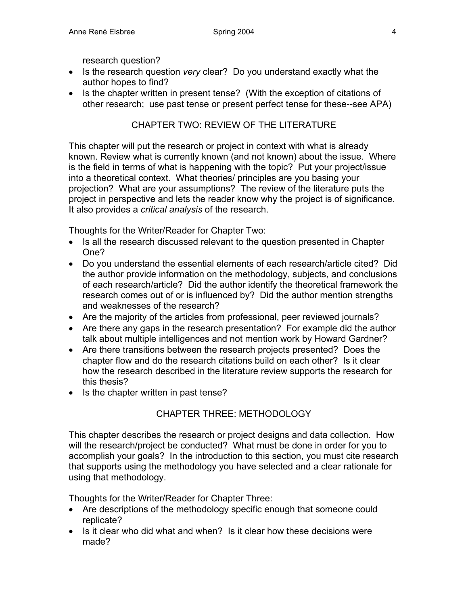research question?

- Is the research question *very* clear? Do you understand exactly what the author hopes to find?
- Is the chapter written in present tense? (With the exception of citations of other research; use past tense or present perfect tense for these--see APA)

# CHAPTER TWO: REVIEW OF THE LITERATURE

This chapter will put the research or project in context with what is already known. Review what is currently known (and not known) about the issue. Where is the field in terms of what is happening with the topic? Put your project/issue into a theoretical context. What theories/ principles are you basing your projection? What are your assumptions? The review of the literature puts the project in perspective and lets the reader know why the project is of significance. It also provides a *critical analysis* of the research.

Thoughts for the Writer/Reader for Chapter Two:

- Is all the research discussed relevant to the question presented in Chapter One?
- Do you understand the essential elements of each research/article cited? Did the author provide information on the methodology, subjects, and conclusions of each research/article? Did the author identify the theoretical framework the research comes out of or is influenced by? Did the author mention strengths and weaknesses of the research?
- Are the majority of the articles from professional, peer reviewed journals?
- Are there any gaps in the research presentation? For example did the author talk about multiple intelligences and not mention work by Howard Gardner?
- Are there transitions between the research projects presented? Does the chapter flow and do the research citations build on each other? Is it clear how the research described in the literature review supports the research for this thesis?
- Is the chapter written in past tense?

# CHAPTER THREE: METHODOLOGY

This chapter describes the research or project designs and data collection. How will the research/project be conducted? What must be done in order for you to accomplish your goals? In the introduction to this section, you must cite research that supports using the methodology you have selected and a clear rationale for using that methodology.

Thoughts for the Writer/Reader for Chapter Three:

- Are descriptions of the methodology specific enough that someone could replicate?
- Is it clear who did what and when? Is it clear how these decisions were made?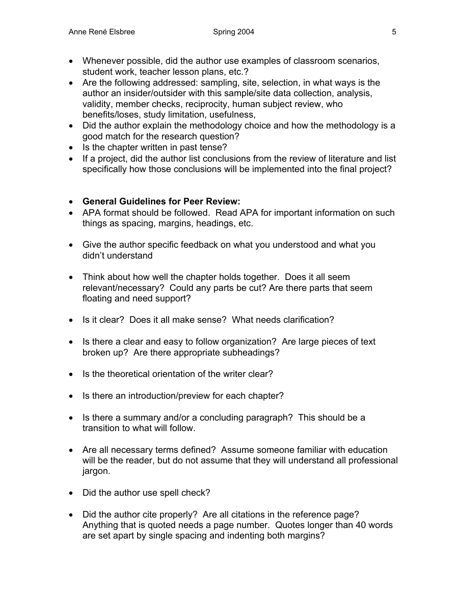- Whenever possible, did the author use examples of classroom scenarios, student work, teacher lesson plans, etc.?
- Are the following addressed: sampling, site, selection, in what ways is the author an insider/outsider with this sample/site data collection, analysis, validity, member checks, reciprocity, human subject review, who benefits/loses, study limitation, usefulness,
- Did the author explain the methodology choice and how the methodology is a good match for the research question?
- Is the chapter written in past tense?
- If a project, did the author list conclusions from the review of literature and list specifically how those conclusions will be implemented into the final project?
- **General Guidelines for Peer Review:**
- APA format should be followed. Read APA for important information on such things as spacing, margins, headings, etc.
- Give the author specific feedback on what you understood and what you didn't understand
- Think about how well the chapter holds together. Does it all seem relevant/necessary? Could any parts be cut? Are there parts that seem floating and need support?
- Is it clear? Does it all make sense? What needs clarification?
- Is there a clear and easy to follow organization? Are large pieces of text broken up? Are there appropriate subheadings?
- Is the theoretical orientation of the writer clear?
- Is there an introduction/preview for each chapter?
- Is there a summary and/or a concluding paragraph? This should be a transition to what will follow.
- Are all necessary terms defined? Assume someone familiar with education will be the reader, but do not assume that they will understand all professional jargon.
- Did the author use spell check?
- Did the author cite properly? Are all citations in the reference page? Anything that is quoted needs a page number. Quotes longer than 40 words are set apart by single spacing and indenting both margins?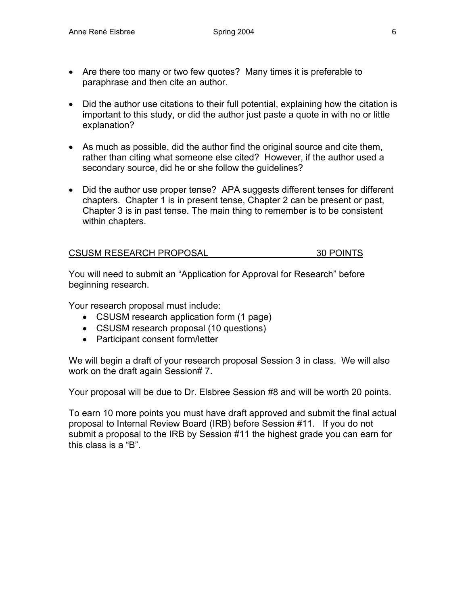- Are there too many or two few quotes? Many times it is preferable to paraphrase and then cite an author.
- Did the author use citations to their full potential, explaining how the citation is important to this study, or did the author just paste a quote in with no or little explanation?
- As much as possible, did the author find the original source and cite them, rather than citing what someone else cited? However, if the author used a secondary source, did he or she follow the guidelines?
- Did the author use proper tense? APA suggests different tenses for different chapters. Chapter 1 is in present tense, Chapter 2 can be present or past, Chapter 3 is in past tense. The main thing to remember is to be consistent within chapters.

| <b>CSUSM RESEARCH PROPOSAL</b> | 30 POINTS |
|--------------------------------|-----------|
|                                |           |

You will need to submit an "Application for Approval for Research" before beginning research.

Your research proposal must include:

- CSUSM research application form (1 page)
- CSUSM research proposal (10 questions)
- Participant consent form/letter

We will begin a draft of your research proposal Session 3 in class. We will also work on the draft again Session# 7.

Your proposal will be due to Dr. Elsbree Session #8 and will be worth 20 points.

To earn 10 more points you must have draft approved and submit the final actual proposal to Internal Review Board (IRB) before Session #11. If you do not submit a proposal to the IRB by Session #11 the highest grade you can earn for this class is a "B".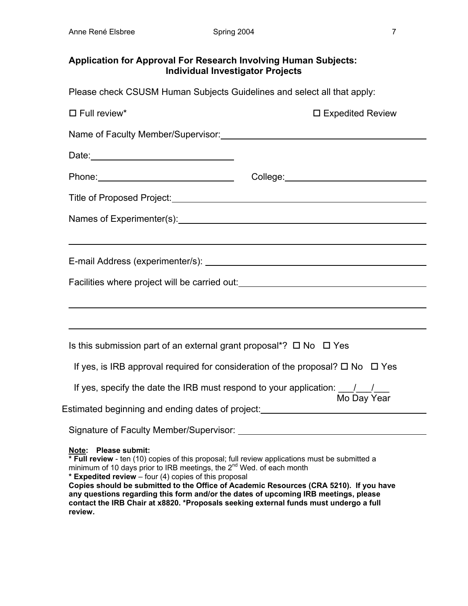# **Application for Approval For Research Involving Human Subjects: Individual Investigator Projects**

Please check CSUSM Human Subjects Guidelines and select all that apply:

| $\square$ Full review*                                                                                                                                                                                                                                                                                                                                                                                                                                                                                                                            | $\square$ Expedited Review                                                                                                                                                                                           |
|---------------------------------------------------------------------------------------------------------------------------------------------------------------------------------------------------------------------------------------------------------------------------------------------------------------------------------------------------------------------------------------------------------------------------------------------------------------------------------------------------------------------------------------------------|----------------------------------------------------------------------------------------------------------------------------------------------------------------------------------------------------------------------|
|                                                                                                                                                                                                                                                                                                                                                                                                                                                                                                                                                   |                                                                                                                                                                                                                      |
|                                                                                                                                                                                                                                                                                                                                                                                                                                                                                                                                                   |                                                                                                                                                                                                                      |
|                                                                                                                                                                                                                                                                                                                                                                                                                                                                                                                                                   |                                                                                                                                                                                                                      |
|                                                                                                                                                                                                                                                                                                                                                                                                                                                                                                                                                   |                                                                                                                                                                                                                      |
|                                                                                                                                                                                                                                                                                                                                                                                                                                                                                                                                                   |                                                                                                                                                                                                                      |
|                                                                                                                                                                                                                                                                                                                                                                                                                                                                                                                                                   |                                                                                                                                                                                                                      |
|                                                                                                                                                                                                                                                                                                                                                                                                                                                                                                                                                   |                                                                                                                                                                                                                      |
|                                                                                                                                                                                                                                                                                                                                                                                                                                                                                                                                                   | Facilities where project will be carried out: __________________________________                                                                                                                                     |
|                                                                                                                                                                                                                                                                                                                                                                                                                                                                                                                                                   |                                                                                                                                                                                                                      |
|                                                                                                                                                                                                                                                                                                                                                                                                                                                                                                                                                   | ,我们也不会有什么。""我们的人,我们也不会有什么?""我们的人,我们也不会有什么?""我们的人,我们也不会有什么?""我们的人,我们也不会有什么?""我们的人                                                                                                                                     |
| Is this submission part of an external grant proposal*? $\Box$ No $\Box$ Yes                                                                                                                                                                                                                                                                                                                                                                                                                                                                      |                                                                                                                                                                                                                      |
|                                                                                                                                                                                                                                                                                                                                                                                                                                                                                                                                                   | If yes, is IRB approval required for consideration of the proposal? $\Box$ No $\Box$ Yes                                                                                                                             |
| If yes, specify the date the IRB must respond to your application: $\frac{1}{\sqrt{2}}$ Mo Day Year                                                                                                                                                                                                                                                                                                                                                                                                                                               |                                                                                                                                                                                                                      |
|                                                                                                                                                                                                                                                                                                                                                                                                                                                                                                                                                   | Estimated beginning and ending dates of project:<br>Sales Contains and the project: Sales Contains and the project: Sales Contains and the project: Sales Contains and the project:  Sales Contains and the project: |
|                                                                                                                                                                                                                                                                                                                                                                                                                                                                                                                                                   |                                                                                                                                                                                                                      |
| Note: Please submit:<br>* Full review - ten (10) copies of this proposal; full review applications must be submitted a<br>minimum of 10 days prior to IRB meetings, the $2^{nd}$ Wed. of each month<br>* Expedited review - four (4) copies of this proposal<br>Copies should be submitted to the Office of Academic Resources (CRA 5210). If you have<br>any questions regarding this form and/or the dates of upcoming IRB meetings, please<br>contact the IRB Chair at x8820. *Proposals seeking external funds must undergo a full<br>review. |                                                                                                                                                                                                                      |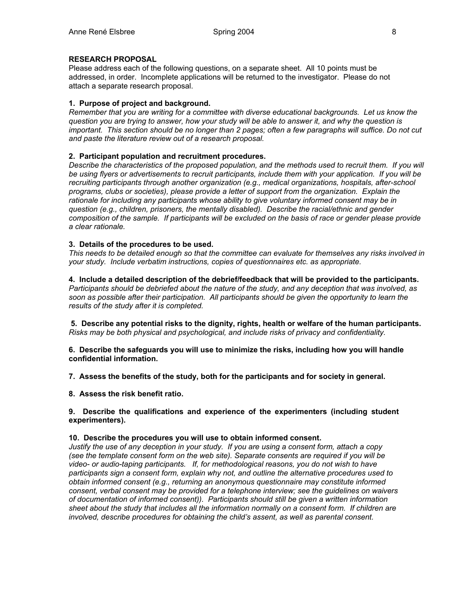### **RESEARCH PROPOSAL**

Please address each of the following questions, on a separate sheet. All 10 points must be addressed, in order. Incomplete applications will be returned to the investigator. Please do not attach a separate research proposal.

### **1. Purpose of project and background.**

*Remember that you are writing for a committee with diverse educational backgrounds. Let us know the question you are trying to answer, how your study will be able to answer it, and why the question is important. This section should be no longer than 2 pages; often a few paragraphs will suffice. Do not cut and paste the literature review out of a research proposal.* 

### **2. Participant population and recruitment procedures.**

*Describe the characteristics of the proposed population, and the methods used to recruit them. If you will be using flyers or advertisements to recruit participants, include them with your application. If you will be recruiting participants through another organization (e.g., medical organizations, hospitals, after-school programs, clubs or societies), please provide a letter of support from the organization. Explain the rationale for including any participants whose ability to give voluntary informed consent may be in question (e.g., children, prisoners, the mentally disabled). Describe the racial/ethnic and gender composition of the sample. If participants will be excluded on the basis of race or gender please provide a clear rationale.* 

#### **3. Details of the procedures to be used.**

*This needs to be detailed enough so that the committee can evaluate for themselves any risks involved in your study. Include verbatim instructions, copies of questionnaires etc. as appropriate.* 

**4. Include a detailed description of the debrief/feedback that will be provided to the participants.**  *Participants should be debriefed about the nature of the study, and any deception that was involved, as soon as possible after their participation. All participants should be given the opportunity to learn the results of the study after it is completed.* 

 **5. Describe any potential risks to the dignity, rights, health or welfare of the human participants.**  *Risks may be both physical and psychological, and include risks of privacy and confidentiality.* 

**6. Describe the safeguards you will use to minimize the risks, including how you will handle confidential information.** 

**7. Assess the benefits of the study, both for the participants and for society in general.** 

**8. Assess the risk benefit ratio.**

#### **9. Describe the qualifications and experience of the experimenters (including student experimenters).**

#### **10. Describe the procedures you will use to obtain informed consent.**

*Justify the use of any deception in your study. If you are using a consent form, attach a copy (see the template consent form on the web site). Separate consents are required if you will be video- or audio-taping participants. If, for methodological reasons, you do not wish to have participants sign a consent form, explain why not, and outline the alternative procedures used to obtain informed consent (e.g., returning an anonymous questionnaire may constitute informed consent, verbal consent may be provided for a telephone interview; see the guidelines on waivers of documentation of informed consent)). Participants should still be given a written information sheet about the study that includes all the information normally on a consent form. If children are involved, describe procedures for obtaining the child's assent, as well as parental consent.*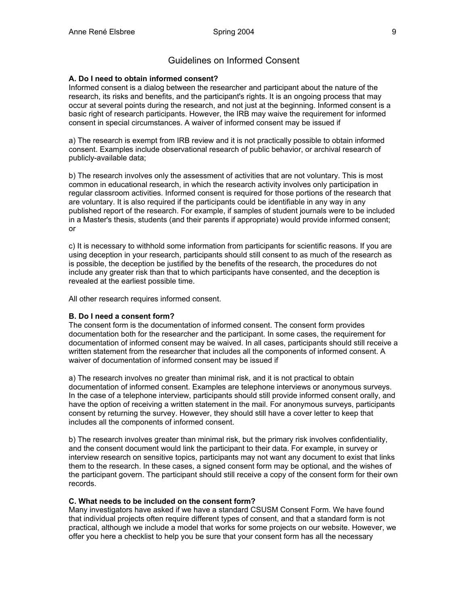# Guidelines on Informed Consent

#### **A. Do I need to obtain informed consent?**

Informed consent is a dialog between the researcher and participant about the nature of the research, its risks and benefits, and the participant's rights. It is an ongoing process that may occur at several points during the research, and not just at the beginning. Informed consent is a basic right of research participants. However, the IRB may waive the requirement for informed consent in special circumstances. A waiver of informed consent may be issued if

a) The research is exempt from IRB review and it is not practically possible to obtain informed consent. Examples include observational research of public behavior, or archival research of publicly-available data;

b) The research involves only the assessment of activities that are not voluntary. This is most common in educational research, in which the research activity involves only participation in regular classroom activities. Informed consent is required for those portions of the research that are voluntary. It is also required if the participants could be identifiable in any way in any published report of the research. For example, if samples of student journals were to be included in a Master's thesis, students (and their parents if appropriate) would provide informed consent; or

c) It is necessary to withhold some information from participants for scientific reasons. If you are using deception in your research, participants should still consent to as much of the research as is possible, the deception be justified by the benefits of the research, the procedures do not include any greater risk than that to which participants have consented, and the deception is revealed at the earliest possible time.

All other research requires informed consent.

#### **B. Do I need a consent form?**

The consent form is the documentation of informed consent. The consent form provides documentation both for the researcher and the participant. In some cases, the requirement for documentation of informed consent may be waived. In all cases, participants should still receive a written statement from the researcher that includes all the components of informed consent. A waiver of documentation of informed consent may be issued if

a) The research involves no greater than minimal risk, and it is not practical to obtain documentation of informed consent. Examples are telephone interviews or anonymous surveys. In the case of a telephone interview, participants should still provide informed consent orally, and have the option of receiving a written statement in the mail. For anonymous surveys, participants consent by returning the survey. However, they should still have a cover letter to keep that includes all the components of informed consent.

b) The research involves greater than minimal risk, but the primary risk involves confidentiality, and the consent document would link the participant to their data. For example, in survey or interview research on sensitive topics, participants may not want any document to exist that links them to the research. In these cases, a signed consent form may be optional, and the wishes of the participant govern. The participant should still receive a copy of the consent form for their own records.

#### **C. What needs to be included on the consent form?**

Many investigators have asked if we have a standard CSUSM Consent Form. We have found that individual projects often require different types of consent, and that a standard form is not practical, although we include a model that works for some projects on our website. However, we offer you here a checklist to help you be sure that your consent form has all the necessary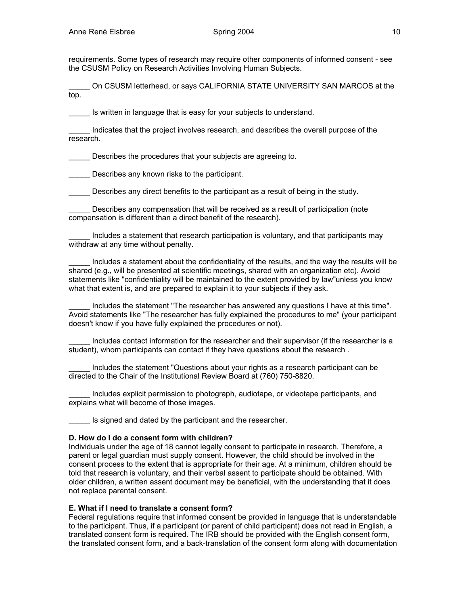requirements. Some types of research may require other components of informed consent - see the CSUSM Policy on Research Activities Involving Human Subjects.

\_\_\_\_\_ On CSUSM letterhead, or says CALIFORNIA STATE UNIVERSITY SAN MARCOS at the top.

Is written in language that is easy for your subjects to understand.

\_\_\_\_\_ Indicates that the project involves research, and describes the overall purpose of the research.

Describes the procedures that your subjects are agreeing to.

Describes any known risks to the participant.

Describes any direct benefits to the participant as a result of being in the study.

Describes any compensation that will be received as a result of participation (note compensation is different than a direct benefit of the research).

Includes a statement that research participation is voluntary, and that participants may withdraw at any time without penalty.

Includes a statement about the confidentiality of the results, and the way the results will be shared (e.g., will be presented at scientific meetings, shared with an organization etc). Avoid statements like "confidentiality will be maintained to the extent provided by law"unless you know what that extent is, and are prepared to explain it to your subjects if they ask.

Includes the statement "The researcher has answered any questions I have at this time". Avoid statements like "The researcher has fully explained the procedures to me" (your participant doesn't know if you have fully explained the procedures or not).

Includes contact information for the researcher and their supervisor (if the researcher is a student), whom participants can contact if they have questions about the research .

Includes the statement "Questions about your rights as a research participant can be directed to the Chair of the Institutional Review Board at (760) 750-8820.

Includes explicit permission to photograph, audiotape, or videotape participants, and explains what will become of those images.

Is signed and dated by the participant and the researcher.

#### **D. How do I do a consent form with children?**

Individuals under the age of 18 cannot legally consent to participate in research. Therefore, a parent or legal guardian must supply consent. However, the child should be involved in the consent process to the extent that is appropriate for their age. At a minimum, children should be told that research is voluntary, and their verbal assent to participate should be obtained. With older children, a written assent document may be beneficial, with the understanding that it does not replace parental consent.

#### **E. What if I need to translate a consent form?**

Federal regulations require that informed consent be provided in language that is understandable to the participant. Thus, if a participant (or parent of child participant) does not read in English, a translated consent form is required. The IRB should be provided with the English consent form, the translated consent form, and a back-translation of the consent form along with documentation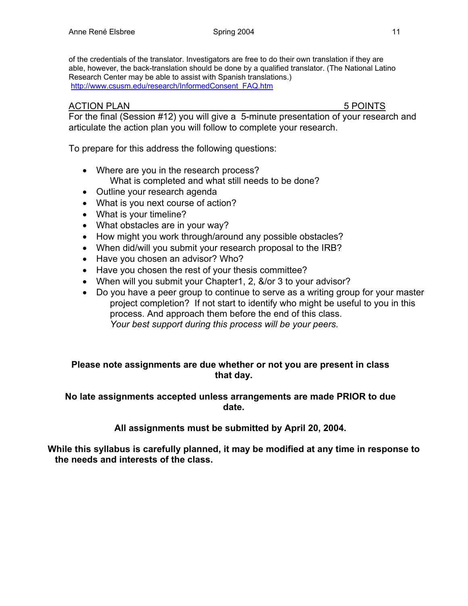of the credentials of the translator. Investigators are free to do their own translation if they are able, however, the back-translation should be done by a qualified translator. (The National Latino Research Center may be able to assist with Spanish translations.) http://www.csusm.edu/research/InformedConsent\_FAQ.htm

# ACTION PLAN 5 POINTS

For the final (Session #12) you will give a 5-minute presentation of your research and articulate the action plan you will follow to complete your research.

To prepare for this address the following questions:

- Where are you in the research process? What is completed and what still needs to be done?
- Outline your research agenda
- What is you next course of action?
- What is your timeline?
- What obstacles are in your way?
- How might you work through/around any possible obstacles?
- When did/will you submit your research proposal to the IRB?
- Have you chosen an advisor? Who?
- Have you chosen the rest of your thesis committee?
- When will you submit your Chapter1, 2, &/or 3 to your advisor?
- Do you have a peer group to continue to serve as a writing group for your master project completion? If not start to identify who might be useful to you in this process. And approach them before the end of this class. *Your best support during this process will be your peers.*

# **Please note assignments are due whether or not you are present in class that day.**

# **No late assignments accepted unless arrangements are made PRIOR to due date.**

**All assignments must be submitted by April 20, 2004.** 

**While this syllabus is carefully planned, it may be modified at any time in response to the needs and interests of the class.**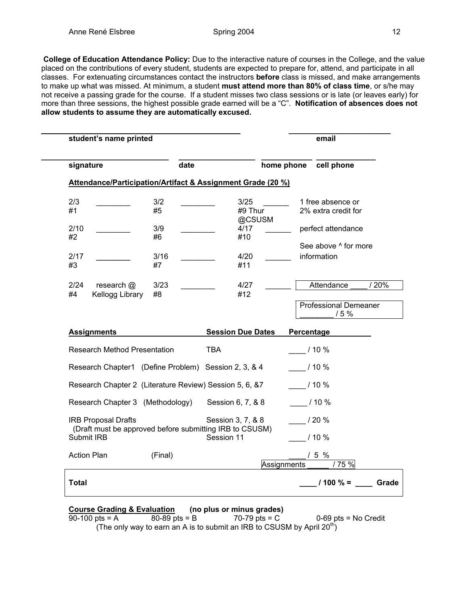**College of Education Attendance Policy:** Due to the interactive nature of courses in the College, and the value placed on the contributions of every student, students are expected to prepare for, attend, and participate in all classes. For extenuating circumstances contact the instructors **before** class is missed, and make arrangements to make up what was missed. At minimum, a student **must attend more than 80% of class time**, or s/he may not receive a passing grade for the course. If a student misses two class sessions or is late (or leaves early) for more than three sessions, the highest possible grade earned will be a "C". **Notification of absences does not allow students to assume they are automatically excused.** 

| student's name printed              |                                                             |                          | email                        |
|-------------------------------------|-------------------------------------------------------------|--------------------------|------------------------------|
| signature                           | date                                                        |                          | cell phone<br>home phone     |
|                                     | Attendance/Participation/Artifact & Assignment Grade (20 %) |                          |                              |
| 2/3                                 | 3/2                                                         | 3/25                     | 1 free absence or            |
| #1                                  | #5                                                          | #9 Thur<br>@CSUSM        | 2% extra credit for          |
| 2/10                                | 3/9                                                         | 4/17                     | perfect attendance           |
| #2                                  | #6                                                          | #10                      |                              |
|                                     |                                                             |                          | See above ^ for more         |
| 2/17                                | 3/16                                                        | 4/20                     | information                  |
| #3                                  | #7                                                          | #11                      |                              |
| 2/24<br>research $@$                | 3/23                                                        | 4/27                     | / 20%<br>Attendance          |
| #4<br>Kellogg Library               | #8                                                          | #12                      |                              |
|                                     |                                                             |                          | <b>Professional Demeaner</b> |
|                                     |                                                             |                          | 15%                          |
| <b>Assignments</b>                  |                                                             | <b>Session Due Dates</b> | Percentage                   |
| <b>Research Method Presentation</b> |                                                             | <b>TBA</b>               | / 10 %                       |
|                                     | Research Chapter1 (Define Problem) Session 2, 3, & 4        |                          | $/10\%$                      |
|                                     | Research Chapter 2 (Literature Review) Session 5, 6, &7     |                          | 110%                         |
|                                     | Research Chapter 3 (Methodology)                            | Session 6, 7, & 8        | $/10\%$                      |
| <b>IRB Proposal Drafts</b>          | (Draft must be approved before submitting IRB to CSUSM)     | Session 3, 7, & 8        | / 20 %                       |
| Submit IRB                          |                                                             | Session 11               | / 10 %                       |

| Action Plan  | (Final) | 5 %<br>Assignments<br>/ 75 % |  |
|--------------|---------|------------------------------|--|
| <b>Total</b> |         | $1100 \% =$<br>Grade         |  |

# **Course Grading & Evaluation** (no plus or minus grades)<br>90-100 pts = A 80-89 pts = B 70-79 pts = C

 $0-69$  pts = No Credit (The only way to earn an A is to submit an IRB to CSUSM by April  $20<sup>th</sup>$ )